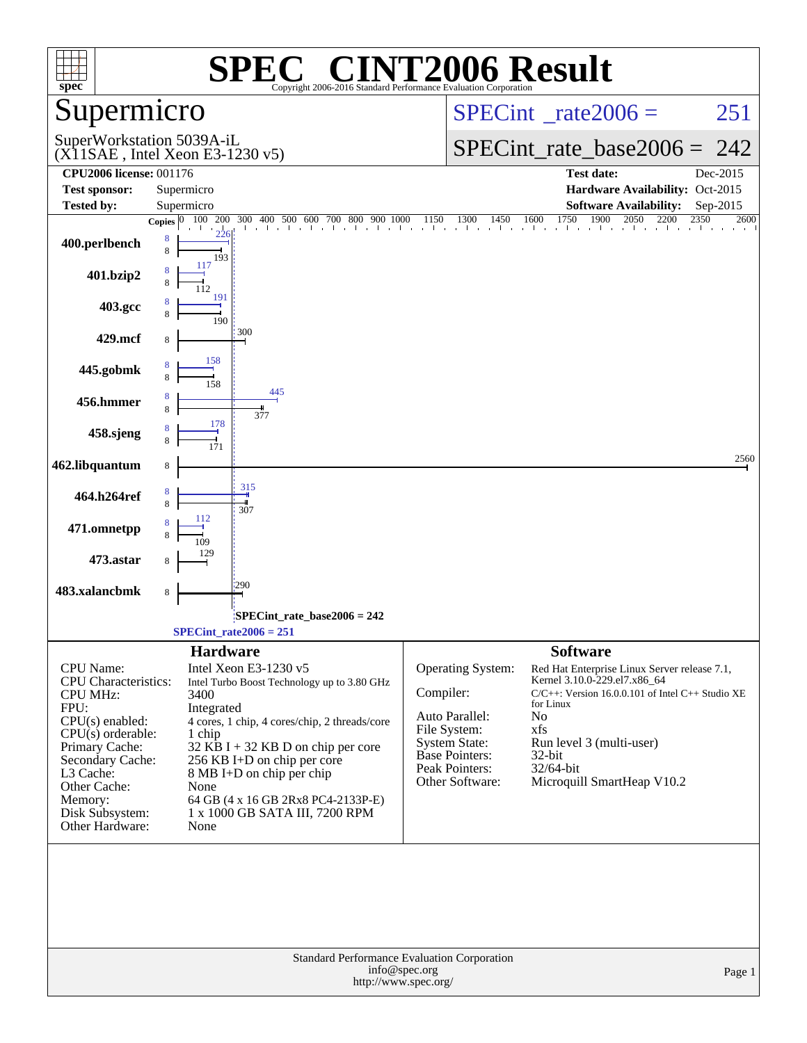| $spec*$                                                                                                                                                                                                                             | SPI<br>Copyright 2006-2016 Standard Performance Evaluation Corporation                                                                                                                                                                                                                                                                                               | C <sup>®</sup> CINT2006 Result                                                                                                                                                                                                                                                                                                                                                                                                     |
|-------------------------------------------------------------------------------------------------------------------------------------------------------------------------------------------------------------------------------------|----------------------------------------------------------------------------------------------------------------------------------------------------------------------------------------------------------------------------------------------------------------------------------------------------------------------------------------------------------------------|------------------------------------------------------------------------------------------------------------------------------------------------------------------------------------------------------------------------------------------------------------------------------------------------------------------------------------------------------------------------------------------------------------------------------------|
| Supermicro                                                                                                                                                                                                                          |                                                                                                                                                                                                                                                                                                                                                                      | $SPECint^{\circ}$ <sub>_rate2006</sub> =<br>251                                                                                                                                                                                                                                                                                                                                                                                    |
| SuperWorkstation 5039A-iL                                                                                                                                                                                                           | $(X11SAE$ , Intel Xeon E3-1230 v5)                                                                                                                                                                                                                                                                                                                                   | $SPECint_rate_base2006 = 242$                                                                                                                                                                                                                                                                                                                                                                                                      |
| <b>CPU2006 license: 001176</b>                                                                                                                                                                                                      |                                                                                                                                                                                                                                                                                                                                                                      | <b>Test date:</b><br>Dec-2015                                                                                                                                                                                                                                                                                                                                                                                                      |
| <b>Test sponsor:</b><br><b>Tested by:</b>                                                                                                                                                                                           | Supermicro<br>Supermicro                                                                                                                                                                                                                                                                                                                                             | Hardware Availability: Oct-2015<br><b>Software Availability:</b><br>$Sep-2015$                                                                                                                                                                                                                                                                                                                                                     |
|                                                                                                                                                                                                                                     |                                                                                                                                                                                                                                                                                                                                                                      | 1750<br><b>Copies</b> $\begin{bmatrix} 0 & 100 & 200 & 300 & 400 & 500 & 600 & 700 & 800 & 900 & 1000 & 1150 & 1300 & 1450 & 1600 & 1750 & 1900 & 2050 & 2200 & 2000 & 2000 & 2000 & 2000 & 2000 & 2000 & 2000 & 2000 & 2000 & 2000 & 2000 & 2000 & 2000 & 2000 & 2000 & 2000 & 2000 & $<br>2350<br>2600                                                                                                                           |
| 400.perlbench                                                                                                                                                                                                                       | 226<br>8<br>8<br>193                                                                                                                                                                                                                                                                                                                                                 |                                                                                                                                                                                                                                                                                                                                                                                                                                    |
| 401.bzip2                                                                                                                                                                                                                           | 117                                                                                                                                                                                                                                                                                                                                                                  |                                                                                                                                                                                                                                                                                                                                                                                                                                    |
| 403.gcc                                                                                                                                                                                                                             | 191<br>190                                                                                                                                                                                                                                                                                                                                                           |                                                                                                                                                                                                                                                                                                                                                                                                                                    |
| 429.mcf                                                                                                                                                                                                                             | 300                                                                                                                                                                                                                                                                                                                                                                  |                                                                                                                                                                                                                                                                                                                                                                                                                                    |
| 445.gobmk                                                                                                                                                                                                                           | 158                                                                                                                                                                                                                                                                                                                                                                  |                                                                                                                                                                                                                                                                                                                                                                                                                                    |
| 456.hmmer                                                                                                                                                                                                                           | 445<br>377                                                                                                                                                                                                                                                                                                                                                           |                                                                                                                                                                                                                                                                                                                                                                                                                                    |
| 458.sjeng                                                                                                                                                                                                                           | 178                                                                                                                                                                                                                                                                                                                                                                  |                                                                                                                                                                                                                                                                                                                                                                                                                                    |
| 462.libquantum                                                                                                                                                                                                                      | 8                                                                                                                                                                                                                                                                                                                                                                    | 2560                                                                                                                                                                                                                                                                                                                                                                                                                               |
| 464.h264ref                                                                                                                                                                                                                         | 315<br>307                                                                                                                                                                                                                                                                                                                                                           |                                                                                                                                                                                                                                                                                                                                                                                                                                    |
| 471.omnetpp                                                                                                                                                                                                                         |                                                                                                                                                                                                                                                                                                                                                                      |                                                                                                                                                                                                                                                                                                                                                                                                                                    |
| 473.astar                                                                                                                                                                                                                           |                                                                                                                                                                                                                                                                                                                                                                      |                                                                                                                                                                                                                                                                                                                                                                                                                                    |
| 483.xalancbmk                                                                                                                                                                                                                       | 290<br>8                                                                                                                                                                                                                                                                                                                                                             |                                                                                                                                                                                                                                                                                                                                                                                                                                    |
|                                                                                                                                                                                                                                     | $SPECint$ rate_base2006 = 242                                                                                                                                                                                                                                                                                                                                        |                                                                                                                                                                                                                                                                                                                                                                                                                                    |
|                                                                                                                                                                                                                                     | $SPECint_rate2006 = 251$                                                                                                                                                                                                                                                                                                                                             |                                                                                                                                                                                                                                                                                                                                                                                                                                    |
| CPU Name:<br><b>CPU</b> Characteristics:<br><b>CPU MHz:</b><br>FPU:<br>$CPU(s)$ enabled:<br>$CPU(s)$ orderable:<br>Primary Cache:<br>Secondary Cache:<br>L3 Cache:<br>Other Cache:<br>Memory:<br>Disk Subsystem:<br>Other Hardware: | <b>Hardware</b><br>Intel Xeon E3-1230 v5<br>Intel Turbo Boost Technology up to 3.80 GHz<br>3400<br>Integrated<br>4 cores, 1 chip, 4 cores/chip, 2 threads/core<br>1 chip<br>$32$ KB I + 32 KB D on chip per core<br>256 KB I+D on chip per core<br>8 MB I+D on chip per chip<br>None<br>64 GB (4 x 16 GB 2Rx8 PC4-2133P-E)<br>1 x 1000 GB SATA III, 7200 RPM<br>None | <b>Software</b><br><b>Operating System:</b><br>Red Hat Enterprise Linux Server release 7.1,<br>Kernel 3.10.0-229.el7.x86_64<br>Compiler:<br>$C/C++$ : Version 16.0.0.101 of Intel C++ Studio XE<br>for Linux<br>Auto Parallel:<br>No<br>File System:<br>xfs<br>Run level 3 (multi-user)<br><b>System State:</b><br><b>Base Pointers:</b><br>32-bit<br>Peak Pointers:<br>32/64-bit<br>Microquill SmartHeap V10.2<br>Other Software: |
|                                                                                                                                                                                                                                     | Standard Performance Evaluation Corporation<br>info@spec.org<br>http://www.spec.org/                                                                                                                                                                                                                                                                                 | Page 1                                                                                                                                                                                                                                                                                                                                                                                                                             |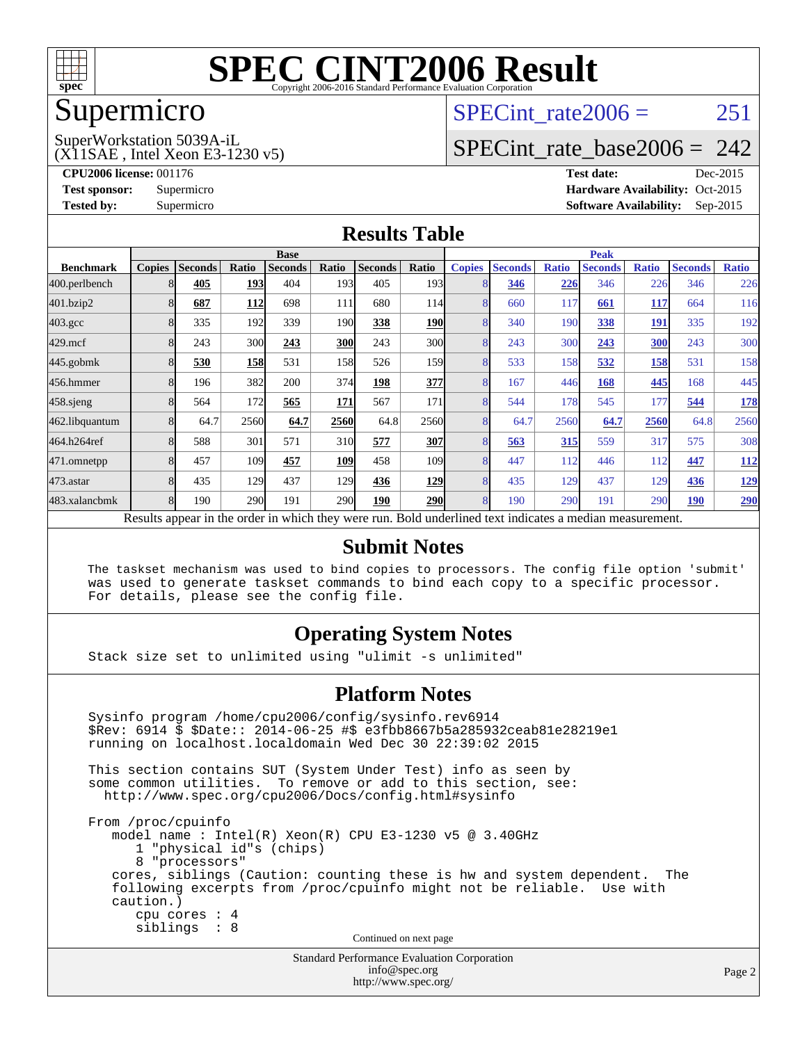

#### Supermicro

## SPECint rate $2006 = 251$

#### (X11SAE , Intel Xeon E3-1230 v5) SuperWorkstation 5039A-iL

[SPECint\\_rate\\_base2006 =](http://www.spec.org/auto/cpu2006/Docs/result-fields.html#SPECintratebase2006) 242

**[CPU2006 license:](http://www.spec.org/auto/cpu2006/Docs/result-fields.html#CPU2006license)** 001176 **[Test date:](http://www.spec.org/auto/cpu2006/Docs/result-fields.html#Testdate)** Dec-2015 **[Test sponsor:](http://www.spec.org/auto/cpu2006/Docs/result-fields.html#Testsponsor)** Supermicro Supermicro **[Hardware Availability:](http://www.spec.org/auto/cpu2006/Docs/result-fields.html#HardwareAvailability)** Oct-2015 **[Tested by:](http://www.spec.org/auto/cpu2006/Docs/result-fields.html#Testedby)** Supermicro **Supermicro [Software Availability:](http://www.spec.org/auto/cpu2006/Docs/result-fields.html#SoftwareAvailability)** Sep-2015

#### **[Results Table](http://www.spec.org/auto/cpu2006/Docs/result-fields.html#ResultsTable)**

|                                                                                                          | <b>Base</b>   |                |            |                |                 |                | <b>Peak</b>      |                |                |              |                |              |                |              |
|----------------------------------------------------------------------------------------------------------|---------------|----------------|------------|----------------|-----------------|----------------|------------------|----------------|----------------|--------------|----------------|--------------|----------------|--------------|
| <b>Benchmark</b>                                                                                         | <b>Copies</b> | <b>Seconds</b> | Ratio      | <b>Seconds</b> | Ratio           | <b>Seconds</b> | Ratio            | <b>Copies</b>  | <b>Seconds</b> | <b>Ratio</b> | <b>Seconds</b> | <b>Ratio</b> | <b>Seconds</b> | <b>Ratio</b> |
| 400.perlbench                                                                                            |               | 405            | 193        | 404            | 193             | 405            | 193 <sup>1</sup> |                | 346            | 226          | 346            | 226          | 346            | 226          |
| 401.bzip2                                                                                                |               | 687            | 112        | 698            | 111             | 680            | 114              |                | 660            | 117          | 661            | <u>117</u>   | 664            | 116          |
| $403.\mathrm{gcc}$                                                                                       |               | 335            | 192        | 339            | 190             | 338            | <b>190</b>       |                | 340            | 190          | 338            | 191          | 335            | 192          |
| $429$ .mcf                                                                                               |               | 243            | 300        | 243            | <b>300</b>      | 243            | 300l             |                | 243            | 300          | 243            | 300          | 243            | 300          |
| $445$ .gobmk                                                                                             |               | 530            | <b>158</b> | 531            | 158             | 526            | <b>159</b>       | 8              | 533            | 158          | 532            | <u>158</u>   | 531            | 158          |
| 456.hmmer                                                                                                |               | 196            | 382        | 200            | 374             | 198            | 377              | 8              | 167            | 446          | 168            | 445          | 168            | 445          |
| $458$ .sjeng                                                                                             |               | 564            | 172        | 565            | 171             | 567            | 171              | 8              | 544            | 178          | 545            | 177          | 544            | <b>178</b>   |
| 462.libquantum                                                                                           |               | 64.7           | 2560       | 64.7           | 2560            | 64.8           | 2560             |                | 64.7           | 2560         | 64.7           | 2560         | 64.8           | 2560         |
| 464.h264ref                                                                                              |               | 588            | 301        | 571            | 31 <sub>0</sub> | 577            | 307              |                | 563            | 315          | 559            | 317          | 575            | 308          |
| 471.omnetpp                                                                                              |               | 457            | 109        | 457            | 109             | 458            | 109              |                | 447            | 112          | 446            | 112          | 447            | <u>112</u>   |
| $473$ . astar                                                                                            |               | 435            | 129        | 437            | <b>129</b>      | 436            | <u>129</u>       | $\overline{8}$ | 435            | 129          | 437            | 129          | 436            | <u>129</u>   |
| 483.xalancbmk                                                                                            |               | 190            | 290        | 191            | 290             | 190            | <b>290</b>       | 8              | 190            | 290          | 191            | 290          | 190            | <b>290</b>   |
| Results appear in the order in which they were run. Bold underlined text indicates a median measurement. |               |                |            |                |                 |                |                  |                |                |              |                |              |                |              |

#### **[Submit Notes](http://www.spec.org/auto/cpu2006/Docs/result-fields.html#SubmitNotes)**

 The taskset mechanism was used to bind copies to processors. The config file option 'submit' was used to generate taskset commands to bind each copy to a specific processor. For details, please see the config file.

#### **[Operating System Notes](http://www.spec.org/auto/cpu2006/Docs/result-fields.html#OperatingSystemNotes)**

Stack size set to unlimited using "ulimit -s unlimited"

#### **[Platform Notes](http://www.spec.org/auto/cpu2006/Docs/result-fields.html#PlatformNotes)**

 Sysinfo program /home/cpu2006/config/sysinfo.rev6914 \$Rev: 6914 \$ \$Date:: 2014-06-25 #\$ e3fbb8667b5a285932ceab81e28219e1 running on localhost.localdomain Wed Dec 30 22:39:02 2015 This section contains SUT (System Under Test) info as seen by some common utilities. To remove or add to this section, see: <http://www.spec.org/cpu2006/Docs/config.html#sysinfo> From /proc/cpuinfo model name : Intel(R) Xeon(R) CPU E3-1230 v5 @ 3.40GHz 1 "physical id"s (chips) 8 "processors" cores, siblings (Caution: counting these is hw and system dependent. The following excerpts from /proc/cpuinfo might not be reliable. Use with caution.) cpu cores : 4 siblings : 8 Continued on next page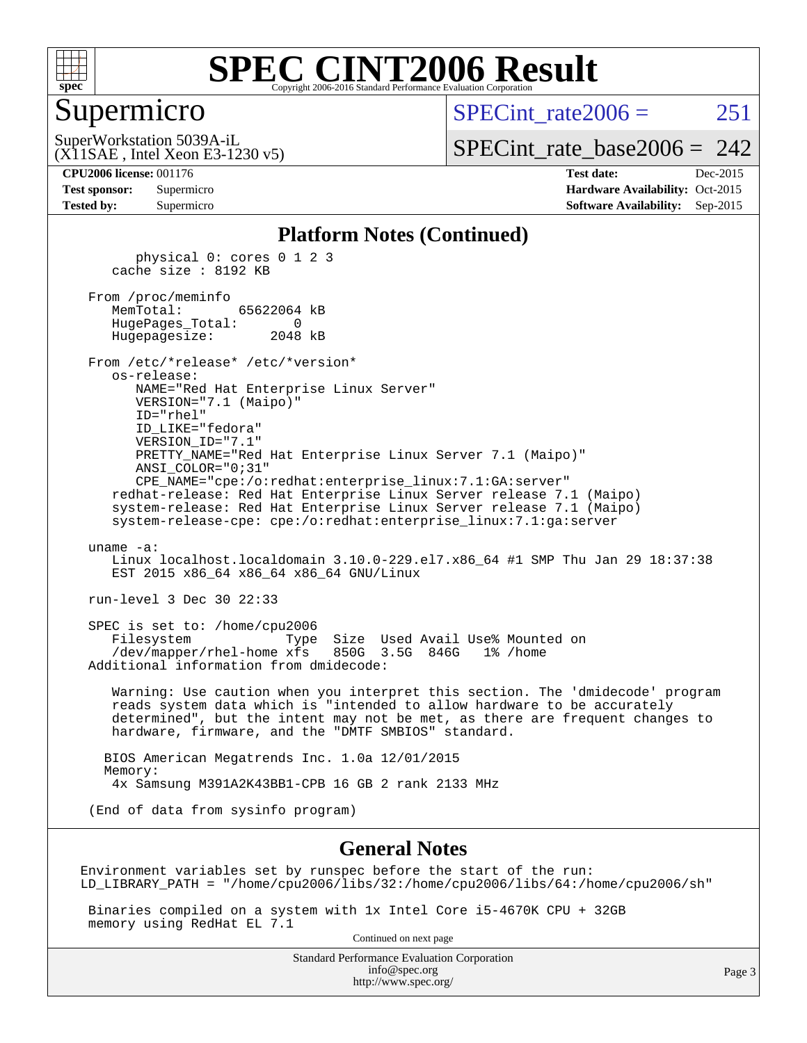

#### Supermicro

SPECint rate $2006 = 251$ 

(X11SAE , Intel Xeon E3-1230 v5) SuperWorkstation 5039A-iL

[SPECint\\_rate\\_base2006 =](http://www.spec.org/auto/cpu2006/Docs/result-fields.html#SPECintratebase2006)  $242$ 

**[CPU2006 license:](http://www.spec.org/auto/cpu2006/Docs/result-fields.html#CPU2006license)** 001176 **[Test date:](http://www.spec.org/auto/cpu2006/Docs/result-fields.html#Testdate)** Dec-2015 **[Test sponsor:](http://www.spec.org/auto/cpu2006/Docs/result-fields.html#Testsponsor)** Supermicro Supermicro **[Hardware Availability:](http://www.spec.org/auto/cpu2006/Docs/result-fields.html#HardwareAvailability)** Oct-2015 **[Tested by:](http://www.spec.org/auto/cpu2006/Docs/result-fields.html#Testedby)** Supermicro **Supermicro [Software Availability:](http://www.spec.org/auto/cpu2006/Docs/result-fields.html#SoftwareAvailability)** Sep-2015

#### **[Platform Notes \(Continued\)](http://www.spec.org/auto/cpu2006/Docs/result-fields.html#PlatformNotes)**

 physical 0: cores 0 1 2 3 cache size : 8192 KB From /proc/meminfo MemTotal: 65622064 kB HugePages\_Total: 0 Hugepagesize: 2048 kB From /etc/\*release\* /etc/\*version\* os-release: NAME="Red Hat Enterprise Linux Server" VERSION="7.1 (Maipo)" ID="rhel" ID\_LIKE="fedora" VERSION\_ID="7.1" PRETTY\_NAME="Red Hat Enterprise Linux Server 7.1 (Maipo)" ANSI\_COLOR="0;31" CPE\_NAME="cpe:/o:redhat:enterprise\_linux:7.1:GA:server" redhat-release: Red Hat Enterprise Linux Server release 7.1 (Maipo) system-release: Red Hat Enterprise Linux Server release 7.1 (Maipo) system-release-cpe: cpe:/o:redhat:enterprise\_linux:7.1:ga:server uname -a: Linux localhost.localdomain 3.10.0-229.el7.x86\_64 #1 SMP Thu Jan 29 18:37:38 EST 2015 x86 64 x86 64 x86 64 GNU/Linux run-level 3 Dec 30 22:33 SPEC is set to: /home/cpu2006 Filesystem Type Size Used Avail Use% Mounted on /dev/mapper/rhel-home xfs 850G 3.5G 846G 1% /home Additional information from dmidecode: Warning: Use caution when you interpret this section. The 'dmidecode' program reads system data which is "intended to allow hardware to be accurately determined", but the intent may not be met, as there are frequent changes to hardware, firmware, and the "DMTF SMBIOS" standard. BIOS American Megatrends Inc. 1.0a 12/01/2015 Memory: 4x Samsung M391A2K43BB1-CPB 16 GB 2 rank 2133 MHz

(End of data from sysinfo program)

#### **[General Notes](http://www.spec.org/auto/cpu2006/Docs/result-fields.html#GeneralNotes)**

Environment variables set by runspec before the start of the run: LD\_LIBRARY\_PATH = "/home/cpu2006/libs/32:/home/cpu2006/libs/64:/home/cpu2006/sh"

 Binaries compiled on a system with 1x Intel Core i5-4670K CPU + 32GB memory using RedHat EL 7.1

Continued on next page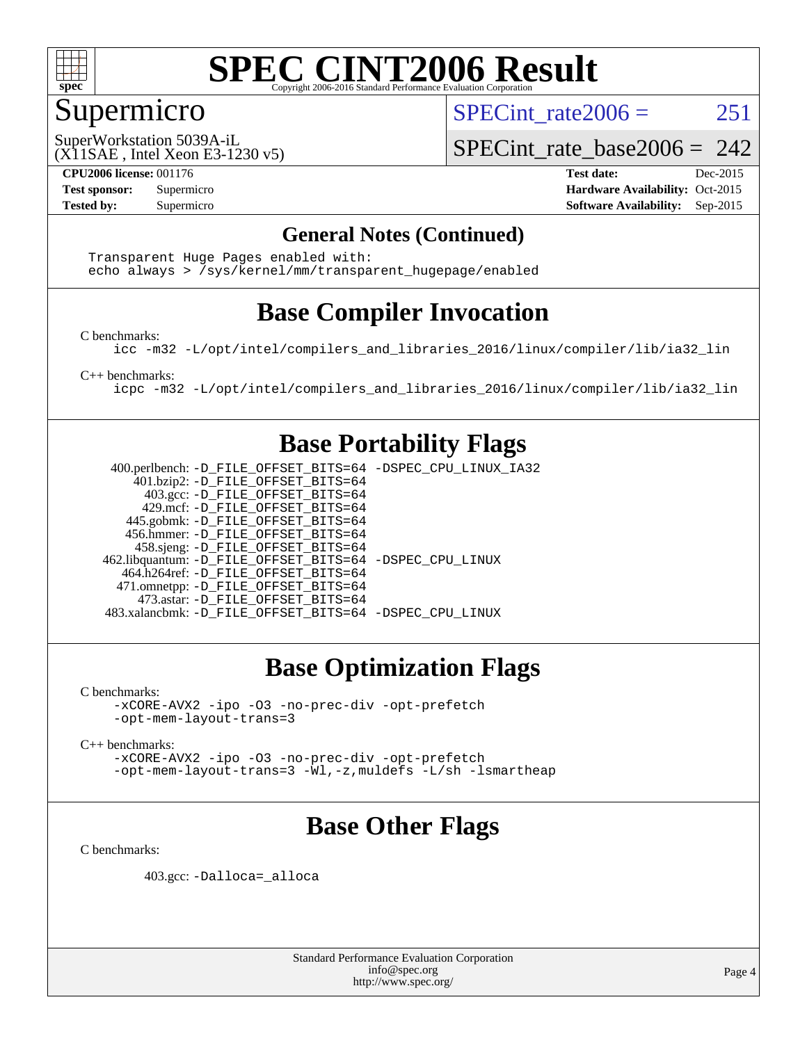

### Supermicro

SPECint rate $2006 = 251$ 

(X11SAE , Intel Xeon E3-1230 v5) SuperWorkstation 5039A-iL

SPECint rate base2006 =  $242$ 

**[CPU2006 license:](http://www.spec.org/auto/cpu2006/Docs/result-fields.html#CPU2006license)** 001176 **[Test date:](http://www.spec.org/auto/cpu2006/Docs/result-fields.html#Testdate)** Dec-2015 **[Test sponsor:](http://www.spec.org/auto/cpu2006/Docs/result-fields.html#Testsponsor)** Supermicro Supermicro **[Hardware Availability:](http://www.spec.org/auto/cpu2006/Docs/result-fields.html#HardwareAvailability)** Oct-2015 **[Tested by:](http://www.spec.org/auto/cpu2006/Docs/result-fields.html#Testedby)** Supermicro **Supermicro [Software Availability:](http://www.spec.org/auto/cpu2006/Docs/result-fields.html#SoftwareAvailability)** Sep-2015

#### **[General Notes \(Continued\)](http://www.spec.org/auto/cpu2006/Docs/result-fields.html#GeneralNotes)**

 Transparent Huge Pages enabled with: echo always > /sys/kernel/mm/transparent\_hugepage/enabled

### **[Base Compiler Invocation](http://www.spec.org/auto/cpu2006/Docs/result-fields.html#BaseCompilerInvocation)**

[C benchmarks](http://www.spec.org/auto/cpu2006/Docs/result-fields.html#Cbenchmarks):

[icc -m32 -L/opt/intel/compilers\\_and\\_libraries\\_2016/linux/compiler/lib/ia32\\_lin](http://www.spec.org/cpu2006/results/res2016q1/cpu2006-20160106-38585.flags.html#user_CCbase_intel_icc_e10256ba5924b668798078a321b0cb3f)

[C++ benchmarks:](http://www.spec.org/auto/cpu2006/Docs/result-fields.html#CXXbenchmarks)

[icpc -m32 -L/opt/intel/compilers\\_and\\_libraries\\_2016/linux/compiler/lib/ia32\\_lin](http://www.spec.org/cpu2006/results/res2016q1/cpu2006-20160106-38585.flags.html#user_CXXbase_intel_icpc_b4f50a394bdb4597aa5879c16bc3f5c5)

#### **[Base Portability Flags](http://www.spec.org/auto/cpu2006/Docs/result-fields.html#BasePortabilityFlags)**

 400.perlbench: [-D\\_FILE\\_OFFSET\\_BITS=64](http://www.spec.org/cpu2006/results/res2016q1/cpu2006-20160106-38585.flags.html#user_basePORTABILITY400_perlbench_file_offset_bits_64_438cf9856305ebd76870a2c6dc2689ab) [-DSPEC\\_CPU\\_LINUX\\_IA32](http://www.spec.org/cpu2006/results/res2016q1/cpu2006-20160106-38585.flags.html#b400.perlbench_baseCPORTABILITY_DSPEC_CPU_LINUX_IA32) 401.bzip2: [-D\\_FILE\\_OFFSET\\_BITS=64](http://www.spec.org/cpu2006/results/res2016q1/cpu2006-20160106-38585.flags.html#user_basePORTABILITY401_bzip2_file_offset_bits_64_438cf9856305ebd76870a2c6dc2689ab) 403.gcc: [-D\\_FILE\\_OFFSET\\_BITS=64](http://www.spec.org/cpu2006/results/res2016q1/cpu2006-20160106-38585.flags.html#user_basePORTABILITY403_gcc_file_offset_bits_64_438cf9856305ebd76870a2c6dc2689ab) 429.mcf: [-D\\_FILE\\_OFFSET\\_BITS=64](http://www.spec.org/cpu2006/results/res2016q1/cpu2006-20160106-38585.flags.html#user_basePORTABILITY429_mcf_file_offset_bits_64_438cf9856305ebd76870a2c6dc2689ab) 445.gobmk: [-D\\_FILE\\_OFFSET\\_BITS=64](http://www.spec.org/cpu2006/results/res2016q1/cpu2006-20160106-38585.flags.html#user_basePORTABILITY445_gobmk_file_offset_bits_64_438cf9856305ebd76870a2c6dc2689ab) 456.hmmer: [-D\\_FILE\\_OFFSET\\_BITS=64](http://www.spec.org/cpu2006/results/res2016q1/cpu2006-20160106-38585.flags.html#user_basePORTABILITY456_hmmer_file_offset_bits_64_438cf9856305ebd76870a2c6dc2689ab) 458.sjeng: [-D\\_FILE\\_OFFSET\\_BITS=64](http://www.spec.org/cpu2006/results/res2016q1/cpu2006-20160106-38585.flags.html#user_basePORTABILITY458_sjeng_file_offset_bits_64_438cf9856305ebd76870a2c6dc2689ab) 462.libquantum: [-D\\_FILE\\_OFFSET\\_BITS=64](http://www.spec.org/cpu2006/results/res2016q1/cpu2006-20160106-38585.flags.html#user_basePORTABILITY462_libquantum_file_offset_bits_64_438cf9856305ebd76870a2c6dc2689ab) [-DSPEC\\_CPU\\_LINUX](http://www.spec.org/cpu2006/results/res2016q1/cpu2006-20160106-38585.flags.html#b462.libquantum_baseCPORTABILITY_DSPEC_CPU_LINUX) 464.h264ref: [-D\\_FILE\\_OFFSET\\_BITS=64](http://www.spec.org/cpu2006/results/res2016q1/cpu2006-20160106-38585.flags.html#user_basePORTABILITY464_h264ref_file_offset_bits_64_438cf9856305ebd76870a2c6dc2689ab) 471.omnetpp: [-D\\_FILE\\_OFFSET\\_BITS=64](http://www.spec.org/cpu2006/results/res2016q1/cpu2006-20160106-38585.flags.html#user_basePORTABILITY471_omnetpp_file_offset_bits_64_438cf9856305ebd76870a2c6dc2689ab) 473.astar: [-D\\_FILE\\_OFFSET\\_BITS=64](http://www.spec.org/cpu2006/results/res2016q1/cpu2006-20160106-38585.flags.html#user_basePORTABILITY473_astar_file_offset_bits_64_438cf9856305ebd76870a2c6dc2689ab) 483.xalancbmk: [-D\\_FILE\\_OFFSET\\_BITS=64](http://www.spec.org/cpu2006/results/res2016q1/cpu2006-20160106-38585.flags.html#user_basePORTABILITY483_xalancbmk_file_offset_bits_64_438cf9856305ebd76870a2c6dc2689ab) [-DSPEC\\_CPU\\_LINUX](http://www.spec.org/cpu2006/results/res2016q1/cpu2006-20160106-38585.flags.html#b483.xalancbmk_baseCXXPORTABILITY_DSPEC_CPU_LINUX)

### **[Base Optimization Flags](http://www.spec.org/auto/cpu2006/Docs/result-fields.html#BaseOptimizationFlags)**

[C benchmarks](http://www.spec.org/auto/cpu2006/Docs/result-fields.html#Cbenchmarks):

[-xCORE-AVX2](http://www.spec.org/cpu2006/results/res2016q1/cpu2006-20160106-38585.flags.html#user_CCbase_f-xAVX2_5f5fc0cbe2c9f62c816d3e45806c70d7) [-ipo](http://www.spec.org/cpu2006/results/res2016q1/cpu2006-20160106-38585.flags.html#user_CCbase_f-ipo) [-O3](http://www.spec.org/cpu2006/results/res2016q1/cpu2006-20160106-38585.flags.html#user_CCbase_f-O3) [-no-prec-div](http://www.spec.org/cpu2006/results/res2016q1/cpu2006-20160106-38585.flags.html#user_CCbase_f-no-prec-div) [-opt-prefetch](http://www.spec.org/cpu2006/results/res2016q1/cpu2006-20160106-38585.flags.html#user_CCbase_f-opt-prefetch) [-opt-mem-layout-trans=3](http://www.spec.org/cpu2006/results/res2016q1/cpu2006-20160106-38585.flags.html#user_CCbase_f-opt-mem-layout-trans_a7b82ad4bd7abf52556d4961a2ae94d5)

[C++ benchmarks:](http://www.spec.org/auto/cpu2006/Docs/result-fields.html#CXXbenchmarks)

[-xCORE-AVX2](http://www.spec.org/cpu2006/results/res2016q1/cpu2006-20160106-38585.flags.html#user_CXXbase_f-xAVX2_5f5fc0cbe2c9f62c816d3e45806c70d7) [-ipo](http://www.spec.org/cpu2006/results/res2016q1/cpu2006-20160106-38585.flags.html#user_CXXbase_f-ipo) [-O3](http://www.spec.org/cpu2006/results/res2016q1/cpu2006-20160106-38585.flags.html#user_CXXbase_f-O3) [-no-prec-div](http://www.spec.org/cpu2006/results/res2016q1/cpu2006-20160106-38585.flags.html#user_CXXbase_f-no-prec-div) [-opt-prefetch](http://www.spec.org/cpu2006/results/res2016q1/cpu2006-20160106-38585.flags.html#user_CXXbase_f-opt-prefetch) [-opt-mem-layout-trans=3](http://www.spec.org/cpu2006/results/res2016q1/cpu2006-20160106-38585.flags.html#user_CXXbase_f-opt-mem-layout-trans_a7b82ad4bd7abf52556d4961a2ae94d5) [-Wl,-z,muldefs](http://www.spec.org/cpu2006/results/res2016q1/cpu2006-20160106-38585.flags.html#user_CXXbase_link_force_multiple1_74079c344b956b9658436fd1b6dd3a8a) [-L/sh -lsmartheap](http://www.spec.org/cpu2006/results/res2016q1/cpu2006-20160106-38585.flags.html#user_CXXbase_SmartHeap_32f6c82aa1ed9c52345d30cf6e4a0499)

### **[Base Other Flags](http://www.spec.org/auto/cpu2006/Docs/result-fields.html#BaseOtherFlags)**

[C benchmarks](http://www.spec.org/auto/cpu2006/Docs/result-fields.html#Cbenchmarks):

403.gcc: [-Dalloca=\\_alloca](http://www.spec.org/cpu2006/results/res2016q1/cpu2006-20160106-38585.flags.html#b403.gcc_baseEXTRA_CFLAGS_Dalloca_be3056838c12de2578596ca5467af7f3)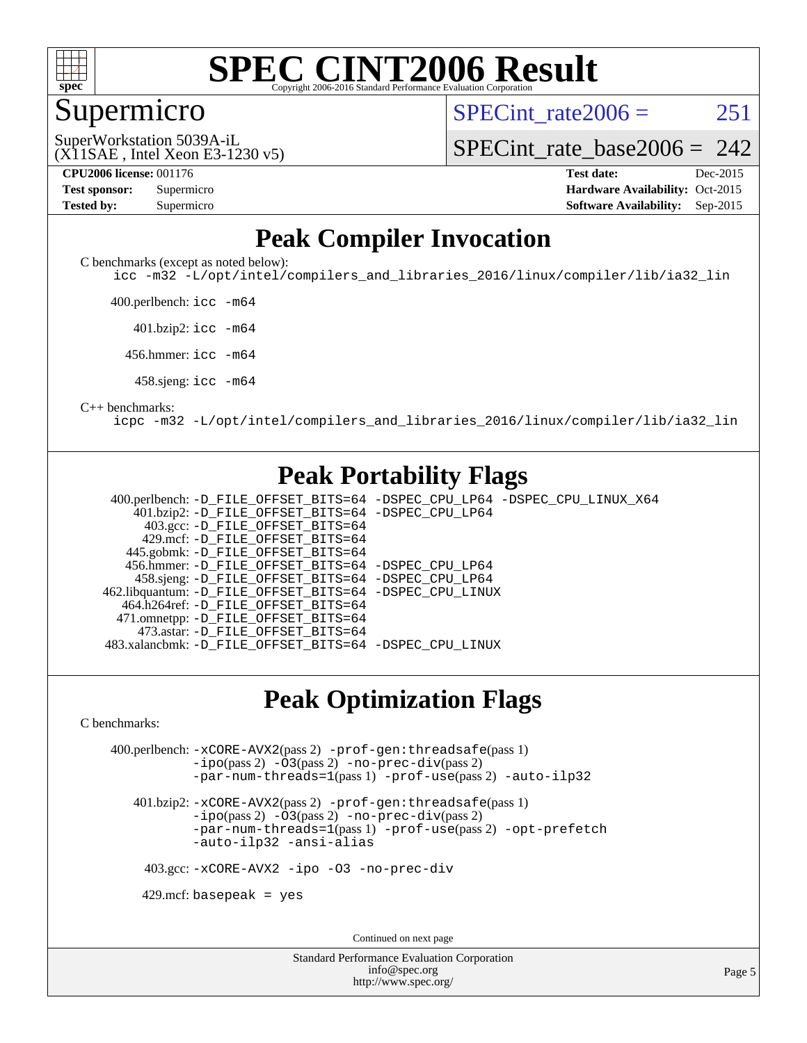

#### Supermicro

SPECint rate $2006 = 251$ 

(X11SAE , Intel Xeon E3-1230 v5) SuperWorkstation 5039A-iL

[SPECint\\_rate\\_base2006 =](http://www.spec.org/auto/cpu2006/Docs/result-fields.html#SPECintratebase2006)  $242$ 

**[CPU2006 license:](http://www.spec.org/auto/cpu2006/Docs/result-fields.html#CPU2006license)** 001176 **[Test date:](http://www.spec.org/auto/cpu2006/Docs/result-fields.html#Testdate)** Dec-2015 **[Test sponsor:](http://www.spec.org/auto/cpu2006/Docs/result-fields.html#Testsponsor)** Supermicro Supermicro **[Hardware Availability:](http://www.spec.org/auto/cpu2006/Docs/result-fields.html#HardwareAvailability)** Oct-2015 **[Tested by:](http://www.spec.org/auto/cpu2006/Docs/result-fields.html#Testedby)** Supermicro **Supermicro [Software Availability:](http://www.spec.org/auto/cpu2006/Docs/result-fields.html#SoftwareAvailability)** Sep-2015

### **[Peak Compiler Invocation](http://www.spec.org/auto/cpu2006/Docs/result-fields.html#PeakCompilerInvocation)**

[C benchmarks \(except as noted below\)](http://www.spec.org/auto/cpu2006/Docs/result-fields.html#Cbenchmarksexceptasnotedbelow):

[icc -m32 -L/opt/intel/compilers\\_and\\_libraries\\_2016/linux/compiler/lib/ia32\\_lin](http://www.spec.org/cpu2006/results/res2016q1/cpu2006-20160106-38585.flags.html#user_CCpeak_intel_icc_e10256ba5924b668798078a321b0cb3f)

400.perlbench: [icc -m64](http://www.spec.org/cpu2006/results/res2016q1/cpu2006-20160106-38585.flags.html#user_peakCCLD400_perlbench_intel_icc_64bit_bda6cc9af1fdbb0edc3795bac97ada53)

401.bzip2: [icc -m64](http://www.spec.org/cpu2006/results/res2016q1/cpu2006-20160106-38585.flags.html#user_peakCCLD401_bzip2_intel_icc_64bit_bda6cc9af1fdbb0edc3795bac97ada53)

456.hmmer: [icc -m64](http://www.spec.org/cpu2006/results/res2016q1/cpu2006-20160106-38585.flags.html#user_peakCCLD456_hmmer_intel_icc_64bit_bda6cc9af1fdbb0edc3795bac97ada53)

458.sjeng: [icc -m64](http://www.spec.org/cpu2006/results/res2016q1/cpu2006-20160106-38585.flags.html#user_peakCCLD458_sjeng_intel_icc_64bit_bda6cc9af1fdbb0edc3795bac97ada53)

#### [C++ benchmarks:](http://www.spec.org/auto/cpu2006/Docs/result-fields.html#CXXbenchmarks)

[icpc -m32 -L/opt/intel/compilers\\_and\\_libraries\\_2016/linux/compiler/lib/ia32\\_lin](http://www.spec.org/cpu2006/results/res2016q1/cpu2006-20160106-38585.flags.html#user_CXXpeak_intel_icpc_b4f50a394bdb4597aa5879c16bc3f5c5)

#### **[Peak Portability Flags](http://www.spec.org/auto/cpu2006/Docs/result-fields.html#PeakPortabilityFlags)**

 400.perlbench: [-D\\_FILE\\_OFFSET\\_BITS=64](http://www.spec.org/cpu2006/results/res2016q1/cpu2006-20160106-38585.flags.html#user_peakPORTABILITY400_perlbench_file_offset_bits_64_438cf9856305ebd76870a2c6dc2689ab) [-DSPEC\\_CPU\\_LP64](http://www.spec.org/cpu2006/results/res2016q1/cpu2006-20160106-38585.flags.html#b400.perlbench_peakCPORTABILITY_DSPEC_CPU_LP64) [-DSPEC\\_CPU\\_LINUX\\_X64](http://www.spec.org/cpu2006/results/res2016q1/cpu2006-20160106-38585.flags.html#b400.perlbench_peakCPORTABILITY_DSPEC_CPU_LINUX_X64) 401.bzip2: [-D\\_FILE\\_OFFSET\\_BITS=64](http://www.spec.org/cpu2006/results/res2016q1/cpu2006-20160106-38585.flags.html#user_peakPORTABILITY401_bzip2_file_offset_bits_64_438cf9856305ebd76870a2c6dc2689ab) [-DSPEC\\_CPU\\_LP64](http://www.spec.org/cpu2006/results/res2016q1/cpu2006-20160106-38585.flags.html#suite_peakCPORTABILITY401_bzip2_DSPEC_CPU_LP64) 403.gcc: [-D\\_FILE\\_OFFSET\\_BITS=64](http://www.spec.org/cpu2006/results/res2016q1/cpu2006-20160106-38585.flags.html#user_peakPORTABILITY403_gcc_file_offset_bits_64_438cf9856305ebd76870a2c6dc2689ab) 429.mcf: [-D\\_FILE\\_OFFSET\\_BITS=64](http://www.spec.org/cpu2006/results/res2016q1/cpu2006-20160106-38585.flags.html#user_peakPORTABILITY429_mcf_file_offset_bits_64_438cf9856305ebd76870a2c6dc2689ab) 445.gobmk: [-D\\_FILE\\_OFFSET\\_BITS=64](http://www.spec.org/cpu2006/results/res2016q1/cpu2006-20160106-38585.flags.html#user_peakPORTABILITY445_gobmk_file_offset_bits_64_438cf9856305ebd76870a2c6dc2689ab) 456.hmmer: [-D\\_FILE\\_OFFSET\\_BITS=64](http://www.spec.org/cpu2006/results/res2016q1/cpu2006-20160106-38585.flags.html#user_peakPORTABILITY456_hmmer_file_offset_bits_64_438cf9856305ebd76870a2c6dc2689ab) [-DSPEC\\_CPU\\_LP64](http://www.spec.org/cpu2006/results/res2016q1/cpu2006-20160106-38585.flags.html#suite_peakCPORTABILITY456_hmmer_DSPEC_CPU_LP64) 458.sjeng: [-D\\_FILE\\_OFFSET\\_BITS=64](http://www.spec.org/cpu2006/results/res2016q1/cpu2006-20160106-38585.flags.html#user_peakPORTABILITY458_sjeng_file_offset_bits_64_438cf9856305ebd76870a2c6dc2689ab) [-DSPEC\\_CPU\\_LP64](http://www.spec.org/cpu2006/results/res2016q1/cpu2006-20160106-38585.flags.html#suite_peakCPORTABILITY458_sjeng_DSPEC_CPU_LP64) 462.libquantum: [-D\\_FILE\\_OFFSET\\_BITS=64](http://www.spec.org/cpu2006/results/res2016q1/cpu2006-20160106-38585.flags.html#user_peakPORTABILITY462_libquantum_file_offset_bits_64_438cf9856305ebd76870a2c6dc2689ab) [-DSPEC\\_CPU\\_LINUX](http://www.spec.org/cpu2006/results/res2016q1/cpu2006-20160106-38585.flags.html#b462.libquantum_peakCPORTABILITY_DSPEC_CPU_LINUX) 464.h264ref: [-D\\_FILE\\_OFFSET\\_BITS=64](http://www.spec.org/cpu2006/results/res2016q1/cpu2006-20160106-38585.flags.html#user_peakPORTABILITY464_h264ref_file_offset_bits_64_438cf9856305ebd76870a2c6dc2689ab) 471.omnetpp: [-D\\_FILE\\_OFFSET\\_BITS=64](http://www.spec.org/cpu2006/results/res2016q1/cpu2006-20160106-38585.flags.html#user_peakPORTABILITY471_omnetpp_file_offset_bits_64_438cf9856305ebd76870a2c6dc2689ab) 473.astar: [-D\\_FILE\\_OFFSET\\_BITS=64](http://www.spec.org/cpu2006/results/res2016q1/cpu2006-20160106-38585.flags.html#user_peakPORTABILITY473_astar_file_offset_bits_64_438cf9856305ebd76870a2c6dc2689ab) 483.xalancbmk: [-D\\_FILE\\_OFFSET\\_BITS=64](http://www.spec.org/cpu2006/results/res2016q1/cpu2006-20160106-38585.flags.html#user_peakPORTABILITY483_xalancbmk_file_offset_bits_64_438cf9856305ebd76870a2c6dc2689ab) [-DSPEC\\_CPU\\_LINUX](http://www.spec.org/cpu2006/results/res2016q1/cpu2006-20160106-38585.flags.html#b483.xalancbmk_peakCXXPORTABILITY_DSPEC_CPU_LINUX)

#### **[Peak Optimization Flags](http://www.spec.org/auto/cpu2006/Docs/result-fields.html#PeakOptimizationFlags)**

[C benchmarks](http://www.spec.org/auto/cpu2006/Docs/result-fields.html#Cbenchmarks):

 400.perlbench: [-xCORE-AVX2](http://www.spec.org/cpu2006/results/res2016q1/cpu2006-20160106-38585.flags.html#user_peakPASS2_CFLAGSPASS2_LDCFLAGS400_perlbench_f-xAVX2_5f5fc0cbe2c9f62c816d3e45806c70d7)(pass 2) [-prof-gen:threadsafe](http://www.spec.org/cpu2006/results/res2016q1/cpu2006-20160106-38585.flags.html#user_peakPASS1_CFLAGSPASS1_LDCFLAGS400_perlbench_prof_gen_21a26eb79f378b550acd7bec9fe4467a)(pass 1) [-ipo](http://www.spec.org/cpu2006/results/res2016q1/cpu2006-20160106-38585.flags.html#user_peakPASS2_CFLAGSPASS2_LDCFLAGS400_perlbench_f-ipo)(pass 2) [-O3](http://www.spec.org/cpu2006/results/res2016q1/cpu2006-20160106-38585.flags.html#user_peakPASS2_CFLAGSPASS2_LDCFLAGS400_perlbench_f-O3)(pass 2) [-no-prec-div](http://www.spec.org/cpu2006/results/res2016q1/cpu2006-20160106-38585.flags.html#user_peakPASS2_CFLAGSPASS2_LDCFLAGS400_perlbench_f-no-prec-div)(pass 2) [-par-num-threads=1](http://www.spec.org/cpu2006/results/res2016q1/cpu2006-20160106-38585.flags.html#user_peakPASS1_CFLAGSPASS1_LDCFLAGS400_perlbench_par_num_threads_786a6ff141b4e9e90432e998842df6c2)(pass 1) [-prof-use](http://www.spec.org/cpu2006/results/res2016q1/cpu2006-20160106-38585.flags.html#user_peakPASS2_CFLAGSPASS2_LDCFLAGS400_perlbench_prof_use_bccf7792157ff70d64e32fe3e1250b55)(pass 2) [-auto-ilp32](http://www.spec.org/cpu2006/results/res2016q1/cpu2006-20160106-38585.flags.html#user_peakCOPTIMIZE400_perlbench_f-auto-ilp32)

 401.bzip2: [-xCORE-AVX2](http://www.spec.org/cpu2006/results/res2016q1/cpu2006-20160106-38585.flags.html#user_peakPASS2_CFLAGSPASS2_LDCFLAGS401_bzip2_f-xAVX2_5f5fc0cbe2c9f62c816d3e45806c70d7)(pass 2) [-prof-gen:threadsafe](http://www.spec.org/cpu2006/results/res2016q1/cpu2006-20160106-38585.flags.html#user_peakPASS1_CFLAGSPASS1_LDCFLAGS401_bzip2_prof_gen_21a26eb79f378b550acd7bec9fe4467a)(pass 1)  $-i\text{po}(pass 2) -O3(pass 2) -no-prec-div(pass 2)$  $-i\text{po}(pass 2) -O3(pass 2) -no-prec-div(pass 2)$  $-i\text{po}(pass 2) -O3(pass 2) -no-prec-div(pass 2)$  $-i\text{po}(pass 2) -O3(pass 2) -no-prec-div(pass 2)$  $-i\text{po}(pass 2) -O3(pass 2) -no-prec-div(pass 2)$ [-par-num-threads=1](http://www.spec.org/cpu2006/results/res2016q1/cpu2006-20160106-38585.flags.html#user_peakPASS1_CFLAGSPASS1_LDCFLAGS401_bzip2_par_num_threads_786a6ff141b4e9e90432e998842df6c2)(pass 1) [-prof-use](http://www.spec.org/cpu2006/results/res2016q1/cpu2006-20160106-38585.flags.html#user_peakPASS2_CFLAGSPASS2_LDCFLAGS401_bzip2_prof_use_bccf7792157ff70d64e32fe3e1250b55)(pass 2) [-opt-prefetch](http://www.spec.org/cpu2006/results/res2016q1/cpu2006-20160106-38585.flags.html#user_peakCOPTIMIZE401_bzip2_f-opt-prefetch) [-auto-ilp32](http://www.spec.org/cpu2006/results/res2016q1/cpu2006-20160106-38585.flags.html#user_peakCOPTIMIZE401_bzip2_f-auto-ilp32) [-ansi-alias](http://www.spec.org/cpu2006/results/res2016q1/cpu2006-20160106-38585.flags.html#user_peakCOPTIMIZE401_bzip2_f-ansi-alias)

403.gcc: [-xCORE-AVX2](http://www.spec.org/cpu2006/results/res2016q1/cpu2006-20160106-38585.flags.html#user_peakCOPTIMIZE403_gcc_f-xAVX2_5f5fc0cbe2c9f62c816d3e45806c70d7) [-ipo](http://www.spec.org/cpu2006/results/res2016q1/cpu2006-20160106-38585.flags.html#user_peakCOPTIMIZE403_gcc_f-ipo) [-O3](http://www.spec.org/cpu2006/results/res2016q1/cpu2006-20160106-38585.flags.html#user_peakCOPTIMIZE403_gcc_f-O3) [-no-prec-div](http://www.spec.org/cpu2006/results/res2016q1/cpu2006-20160106-38585.flags.html#user_peakCOPTIMIZE403_gcc_f-no-prec-div)

 $429$ .mcf: basepeak = yes

Continued on next page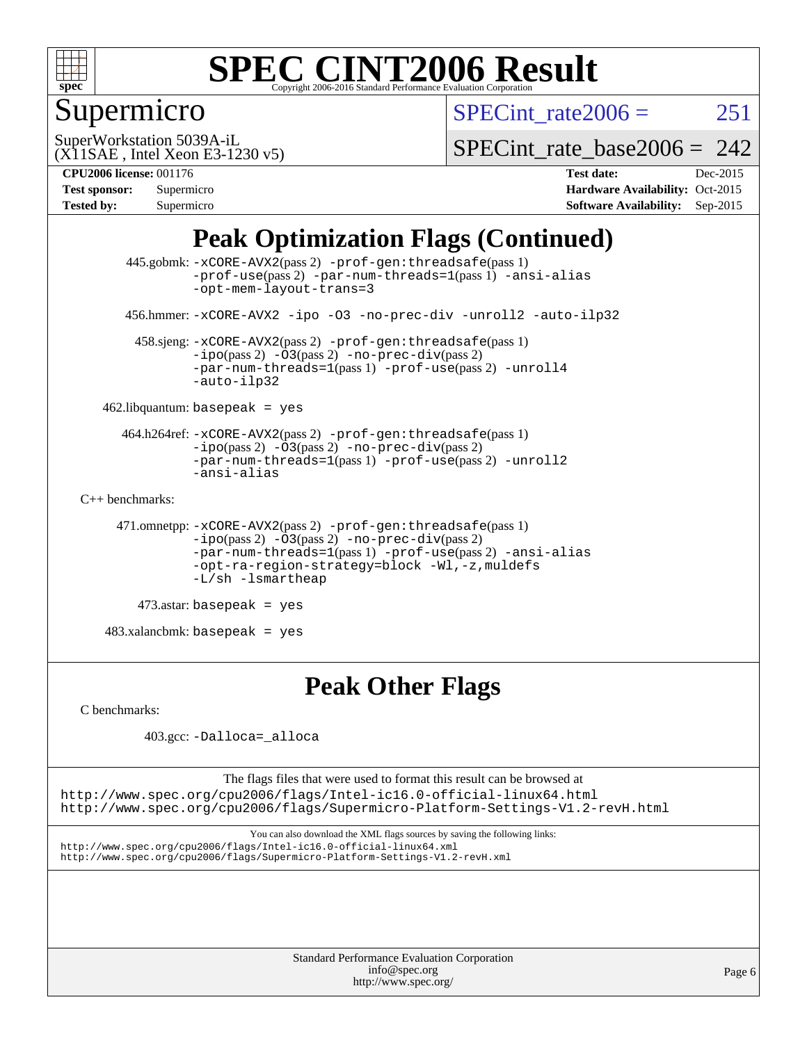

## Supermicro

SPECint rate $2006 = 251$ 

(X11SAE , Intel Xeon E3-1230 v5) SuperWorkstation 5039A-iL

SPECint rate base2006 =  $242$ 

**[CPU2006 license:](http://www.spec.org/auto/cpu2006/Docs/result-fields.html#CPU2006license)** 001176 **[Test date:](http://www.spec.org/auto/cpu2006/Docs/result-fields.html#Testdate)** Dec-2015 **[Test sponsor:](http://www.spec.org/auto/cpu2006/Docs/result-fields.html#Testsponsor)** Supermicro **[Hardware Availability:](http://www.spec.org/auto/cpu2006/Docs/result-fields.html#HardwareAvailability)** Oct-2015 **[Tested by:](http://www.spec.org/auto/cpu2006/Docs/result-fields.html#Testedby)** Supermicro **[Software Availability:](http://www.spec.org/auto/cpu2006/Docs/result-fields.html#SoftwareAvailability)** Sep-2015

### **[Peak Optimization Flags \(Continued\)](http://www.spec.org/auto/cpu2006/Docs/result-fields.html#PeakOptimizationFlags)**

```
 445.gobmk: -xCORE-AVX2(pass 2) -prof-gen:threadsafe(pass 1)
                -prof-use(pass 2) -par-num-threads=1(pass 1) -ansi-alias
                -opt-mem-layout-trans=3
       456.hmmer: -xCORE-AVX2 -ipo -O3 -no-prec-div -unroll2 -auto-ilp32
        458.sjeng: -xCORE-AVX2(pass 2) -prof-gen:threadsafe(pass 1)
                -i\text{po}(pass 2) -\overline{O}3(pass 2)-no-prec-div(pass 2)
                -par-num-threads=1-prof-use-unroll4
                -auto-ilp32
    462.libquantum: basepeak = yes
      464.h264ref: -xCORE-AVX2(pass 2) -prof-gen:threadsafe(pass 1)
                -ipo(pass 2) -O3(pass 2) -no-prec-div(pass 2)
               -par-num-threads=1(pass 1) -prof-use(pass 2) -unroll2
                -ansi-alias
C++ benchmarks: 
      471.omnetpp: -xCORE-AVX2(pass 2) -prof-gen:threadsafe(pass 1)
               -no-prec-div(pass 2)-par-num-threads=1(pass 1) -prof-use(pass 2) -ansi-alias
                -opt-ra-region-strategy=block -Wl,-z,muldefs
                -L/sh -lsmartheap
         473.astar: basepeak = yes
    483.xalancbmk: basepeak = yes
```
### **[Peak Other Flags](http://www.spec.org/auto/cpu2006/Docs/result-fields.html#PeakOtherFlags)**

[C benchmarks](http://www.spec.org/auto/cpu2006/Docs/result-fields.html#Cbenchmarks):

403.gcc: [-Dalloca=\\_alloca](http://www.spec.org/cpu2006/results/res2016q1/cpu2006-20160106-38585.flags.html#b403.gcc_peakEXTRA_CFLAGS_Dalloca_be3056838c12de2578596ca5467af7f3)

The flags files that were used to format this result can be browsed at <http://www.spec.org/cpu2006/flags/Intel-ic16.0-official-linux64.html> <http://www.spec.org/cpu2006/flags/Supermicro-Platform-Settings-V1.2-revH.html>

You can also download the XML flags sources by saving the following links: <http://www.spec.org/cpu2006/flags/Intel-ic16.0-official-linux64.xml> <http://www.spec.org/cpu2006/flags/Supermicro-Platform-Settings-V1.2-revH.xml>